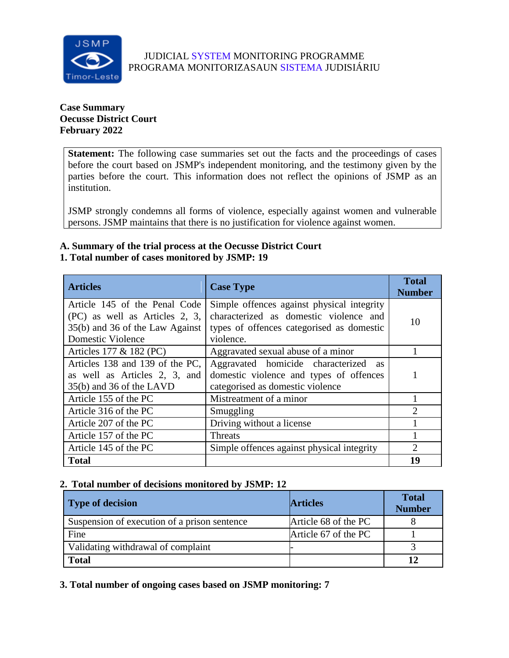

# JUDICIAL SYSTEM MONITORING PROGRAMME PROGRAMA MONITORIZASAUN SISTEMA JUDISIÁRIU

### **Case Summary Oecusse District Court February 2022**

**Statement:** The following case summaries set out the facts and the proceedings of cases before the court based on JSMP's independent monitoring, and the testimony given by the parties before the court. This information does not reflect the opinions of JSMP as an institution.

JSMP strongly condemns all forms of violence, especially against women and vulnerable persons. JSMP maintains that there is no justification for violence against women.

# **A. Summary of the trial process at the Oecusse District Court**

# **1. Total number of cases monitored by JSMP: 19**

| <b>Articles</b>                                                                                                                | <b>Case Type</b>                                                                                                                               | <b>Total</b><br><b>Number</b> |
|--------------------------------------------------------------------------------------------------------------------------------|------------------------------------------------------------------------------------------------------------------------------------------------|-------------------------------|
| Article 145 of the Penal Code<br>(PC) as well as Articles 2, 3,<br>35(b) and 36 of the Law Against<br><b>Domestic Violence</b> | Simple offences against physical integrity<br>characterized as domestic violence and<br>types of offences categorised as domestic<br>violence. | 10                            |
| Articles 177 & 182 (PC)                                                                                                        | Aggravated sexual abuse of a minor                                                                                                             |                               |
| Articles 138 and 139 of the PC,<br>as well as Articles 2, 3, and<br>35(b) and 36 of the LAVD                                   | Aggravated homicide characterized<br><b>as</b><br>domestic violence and types of offences<br>categorised as domestic violence                  |                               |
| Article 155 of the PC                                                                                                          | Mistreatment of a minor                                                                                                                        |                               |
| Article 316 of the PC                                                                                                          | Smuggling                                                                                                                                      | ↑                             |
| Article 207 of the PC                                                                                                          | Driving without a license                                                                                                                      |                               |
| Article 157 of the PC                                                                                                          | Threats                                                                                                                                        |                               |
| Article 145 of the PC                                                                                                          | Simple offences against physical integrity                                                                                                     | 2                             |
| <b>Total</b>                                                                                                                   |                                                                                                                                                | 19                            |

# **2. Total number of decisions monitored by JSMP: 12**

| Type of decision                             | <b>Articles</b>      | <b>Total</b><br><b>Number</b> |
|----------------------------------------------|----------------------|-------------------------------|
| Suspension of execution of a prison sentence | Article 68 of the PC |                               |
| Fine                                         | Article 67 of the PC |                               |
| Validating withdrawal of complaint           |                      |                               |
| <b>Total</b>                                 |                      |                               |

**3. Total number of ongoing cases based on JSMP monitoring: 7**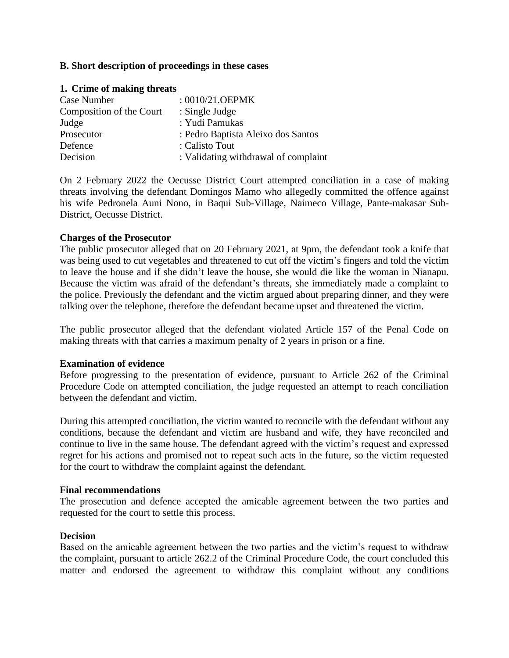### **B. Short description of proceedings in these cases**

| 1. Crime of making threats |                                      |  |
|----------------------------|--------------------------------------|--|
| Case Number                | : 0010/21.OEPMK                      |  |
| Composition of the Court   | : Single Judge                       |  |
| Judge                      | : Yudi Pamukas                       |  |
| Prosecutor                 | : Pedro Baptista Aleixo dos Santos   |  |
| Defence                    | : Calisto Tout                       |  |
| Decision                   | : Validating withdrawal of complaint |  |

On 2 February 2022 the Oecusse District Court attempted conciliation in a case of making threats involving the defendant Domingos Mamo who allegedly committed the offence against his wife Pedronela Auni Nono, in Baqui Sub-Village, Naimeco Village, Pante-makasar Sub-District, Oecusse District.

### **Charges of the Prosecutor**

The public prosecutor alleged that on 20 February 2021, at 9pm, the defendant took a knife that was being used to cut vegetables and threatened to cut off the victim's fingers and told the victim to leave the house and if she didn't leave the house, she would die like the woman in Nianapu. Because the victim was afraid of the defendant's threats, she immediately made a complaint to the police. Previously the defendant and the victim argued about preparing dinner, and they were talking over the telephone, therefore the defendant became upset and threatened the victim.

The public prosecutor alleged that the defendant violated Article 157 of the Penal Code on making threats with that carries a maximum penalty of 2 years in prison or a fine.

#### **Examination of evidence**

Before progressing to the presentation of evidence, pursuant to Article 262 of the Criminal Procedure Code on attempted conciliation, the judge requested an attempt to reach conciliation between the defendant and victim.

During this attempted conciliation, the victim wanted to reconcile with the defendant without any conditions, because the defendant and victim are husband and wife, they have reconciled and continue to live in the same house. The defendant agreed with the victim's request and expressed regret for his actions and promised not to repeat such acts in the future, so the victim requested for the court to withdraw the complaint against the defendant.

#### **Final recommendations**

The prosecution and defence accepted the amicable agreement between the two parties and requested for the court to settle this process.

#### **Decision**

Based on the amicable agreement between the two parties and the victim's request to withdraw the complaint, pursuant to article 262.2 of the Criminal Procedure Code, the court concluded this matter and endorsed the agreement to withdraw this complaint without any conditions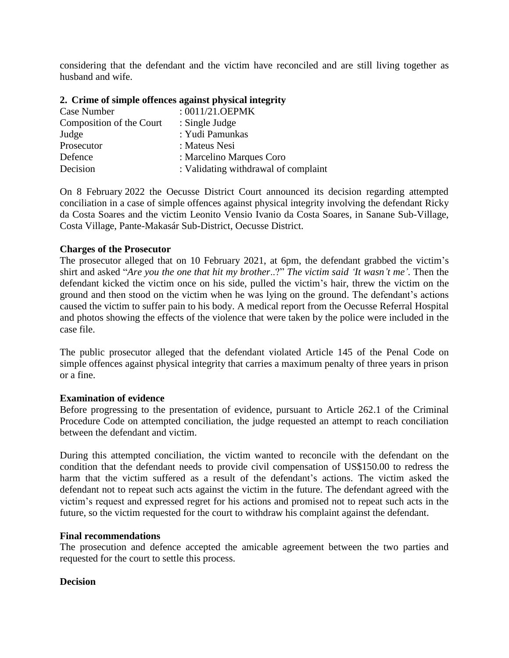considering that the defendant and the victim have reconciled and are still living together as husband and wife.

|  |  |  | 2. Crime of simple offences against physical integrity |
|--|--|--|--------------------------------------------------------|
|  |  |  |                                                        |

| Case Number              | : $0011/21.$ OEPMK                   |
|--------------------------|--------------------------------------|
| Composition of the Court | : Single Judge                       |
| Judge                    | : Yudi Pamunkas                      |
| Prosecutor               | : Mateus Nesi                        |
| Defence                  | : Marcelino Marques Coro             |
| Decision                 | : Validating withdrawal of complaint |

On 8 February 2022 the Oecusse District Court announced its decision regarding attempted conciliation in a case of simple offences against physical integrity involving the defendant Ricky da Costa Soares and the victim Leonito Vensio Ivanio da Costa Soares, in Sanane Sub-Village, Costa Village, Pante-Makasár Sub-District, Oecusse District.

### **Charges of the Prosecutor**

The prosecutor alleged that on 10 February 2021, at 6pm, the defendant grabbed the victim's shirt and asked "*Are you the one that hit my brother*..?" *The victim said 'It wasn't me'*. Then the defendant kicked the victim once on his side, pulled the victim's hair, threw the victim on the ground and then stood on the victim when he was lying on the ground. The defendant's actions caused the victim to suffer pain to his body. A medical report from the Oecusse Referral Hospital and photos showing the effects of the violence that were taken by the police were included in the case file.

The public prosecutor alleged that the defendant violated Article 145 of the Penal Code on simple offences against physical integrity that carries a maximum penalty of three years in prison or a fine.

### **Examination of evidence**

Before progressing to the presentation of evidence, pursuant to Article 262.1 of the Criminal Procedure Code on attempted conciliation, the judge requested an attempt to reach conciliation between the defendant and victim.

During this attempted conciliation, the victim wanted to reconcile with the defendant on the condition that the defendant needs to provide civil compensation of US\$150.00 to redress the harm that the victim suffered as a result of the defendant's actions. The victim asked the defendant not to repeat such acts against the victim in the future. The defendant agreed with the victim's request and expressed regret for his actions and promised not to repeat such acts in the future, so the victim requested for the court to withdraw his complaint against the defendant.

### **Final recommendations**

The prosecution and defence accepted the amicable agreement between the two parties and requested for the court to settle this process.

# **Decision**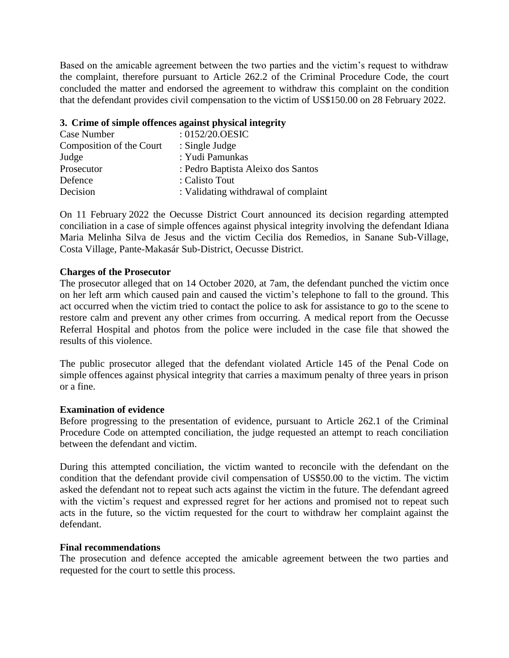Based on the amicable agreement between the two parties and the victim's request to withdraw the complaint, therefore pursuant to Article 262.2 of the Criminal Procedure Code, the court concluded the matter and endorsed the agreement to withdraw this complaint on the condition that the defendant provides civil compensation to the victim of US\$150.00 on 28 February 2022.

### **3. Crime of simple offences against physical integrity**

| : $0152/20.0$ ESIC                   |
|--------------------------------------|
| : Single Judge                       |
| : Yudi Pamunkas                      |
| : Pedro Baptista Aleixo dos Santos   |
| : Calisto Tout                       |
| : Validating withdrawal of complaint |
|                                      |

On 11 February 2022 the Oecusse District Court announced its decision regarding attempted conciliation in a case of simple offences against physical integrity involving the defendant Idiana Maria Melinha Silva de Jesus and the victim Cecilia dos Remedios, in Sanane Sub-Village, Costa Village, Pante-Makasár Sub-District, Oecusse District.

### **Charges of the Prosecutor**

The prosecutor alleged that on 14 October 2020, at 7am, the defendant punched the victim once on her left arm which caused pain and caused the victim's telephone to fall to the ground. This act occurred when the victim tried to contact the police to ask for assistance to go to the scene to restore calm and prevent any other crimes from occurring. A medical report from the Oecusse Referral Hospital and photos from the police were included in the case file that showed the results of this violence.

The public prosecutor alleged that the defendant violated Article 145 of the Penal Code on simple offences against physical integrity that carries a maximum penalty of three years in prison or a fine.

### **Examination of evidence**

Before progressing to the presentation of evidence, pursuant to Article 262.1 of the Criminal Procedure Code on attempted conciliation, the judge requested an attempt to reach conciliation between the defendant and victim.

During this attempted conciliation, the victim wanted to reconcile with the defendant on the condition that the defendant provide civil compensation of US\$50.00 to the victim. The victim asked the defendant not to repeat such acts against the victim in the future. The defendant agreed with the victim's request and expressed regret for her actions and promised not to repeat such acts in the future, so the victim requested for the court to withdraw her complaint against the defendant.

### **Final recommendations**

The prosecution and defence accepted the amicable agreement between the two parties and requested for the court to settle this process.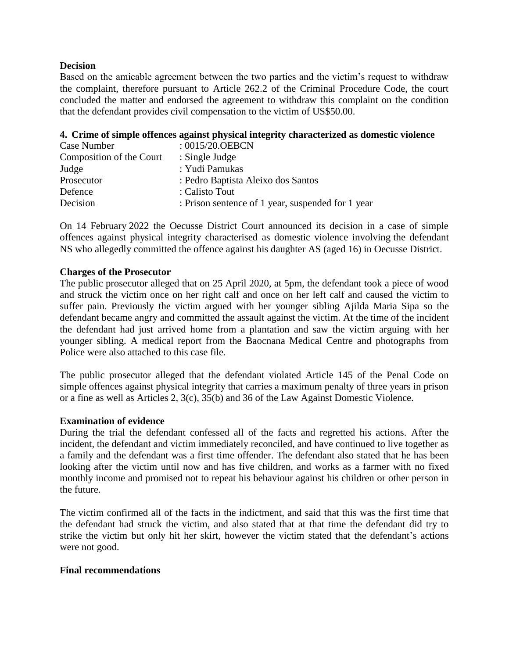### **Decision**

Based on the amicable agreement between the two parties and the victim's request to withdraw the complaint, therefore pursuant to Article 262.2 of the Criminal Procedure Code, the court concluded the matter and endorsed the agreement to withdraw this complaint on the condition that the defendant provides civil compensation to the victim of US\$50.00.

### **4. Crime of simple offences against physical integrity characterized as domestic violence**

| Case Number              | :0015/20.0EBCN                                    |
|--------------------------|---------------------------------------------------|
| Composition of the Court | : Single Judge                                    |
| Judge                    | : Yudi Pamukas                                    |
| Prosecutor               | : Pedro Baptista Aleixo dos Santos                |
| Defence                  | : Calisto Tout                                    |
| Decision                 | : Prison sentence of 1 year, suspended for 1 year |

On 14 February 2022 the Oecusse District Court announced its decision in a case of simple offences against physical integrity characterised as domestic violence involving the defendant NS who allegedly committed the offence against his daughter AS (aged 16) in Oecusse District.

### **Charges of the Prosecutor**

The public prosecutor alleged that on 25 April 2020, at 5pm, the defendant took a piece of wood and struck the victim once on her right calf and once on her left calf and caused the victim to suffer pain. Previously the victim argued with her younger sibling Ajilda Maria Sipa so the defendant became angry and committed the assault against the victim. At the time of the incident the defendant had just arrived home from a plantation and saw the victim arguing with her younger sibling. A medical report from the Baocnana Medical Centre and photographs from Police were also attached to this case file.

The public prosecutor alleged that the defendant violated Article 145 of the Penal Code on simple offences against physical integrity that carries a maximum penalty of three years in prison or a fine as well as Articles 2, 3(c), 35(b) and 36 of the Law Against Domestic Violence.

### **Examination of evidence**

During the trial the defendant confessed all of the facts and regretted his actions. After the incident, the defendant and victim immediately reconciled, and have continued to live together as a family and the defendant was a first time offender. The defendant also stated that he has been looking after the victim until now and has five children, and works as a farmer with no fixed monthly income and promised not to repeat his behaviour against his children or other person in the future.

The victim confirmed all of the facts in the indictment, and said that this was the first time that the defendant had struck the victim, and also stated that at that time the defendant did try to strike the victim but only hit her skirt, however the victim stated that the defendant's actions were not good.

### **Final recommendations**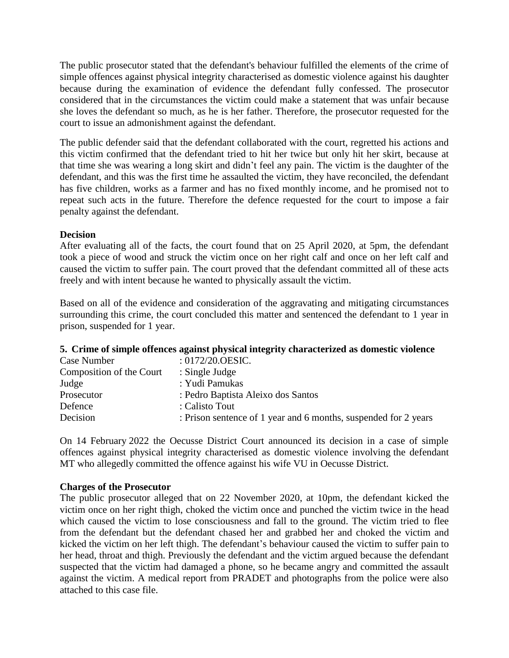The public prosecutor stated that the defendant's behaviour fulfilled the elements of the crime of simple offences against physical integrity characterised as domestic violence against his daughter because during the examination of evidence the defendant fully confessed. The prosecutor considered that in the circumstances the victim could make a statement that was unfair because she loves the defendant so much, as he is her father. Therefore, the prosecutor requested for the court to issue an admonishment against the defendant.

The public defender said that the defendant collaborated with the court, regretted his actions and this victim confirmed that the defendant tried to hit her twice but only hit her skirt, because at that time she was wearing a long skirt and didn't feel any pain. The victim is the daughter of the defendant, and this was the first time he assaulted the victim, they have reconciled, the defendant has five children, works as a farmer and has no fixed monthly income, and he promised not to repeat such acts in the future. Therefore the defence requested for the court to impose a fair penalty against the defendant.

### **Decision**

After evaluating all of the facts, the court found that on 25 April 2020, at 5pm, the defendant took a piece of wood and struck the victim once on her right calf and once on her left calf and caused the victim to suffer pain. The court proved that the defendant committed all of these acts freely and with intent because he wanted to physically assault the victim.

Based on all of the evidence and consideration of the aggravating and mitigating circumstances surrounding this crime, the court concluded this matter and sentenced the defendant to 1 year in prison, suspended for 1 year.

### **5. Crime of simple offences against physical integrity characterized as domestic violence**

| : $0172/20.0$ ESIC.                                             |
|-----------------------------------------------------------------|
| $\therefore$ Single Judge                                       |
| : Yudi Pamukas                                                  |
| : Pedro Baptista Aleixo dos Santos                              |
| : Calisto Tout                                                  |
| : Prison sentence of 1 year and 6 months, suspended for 2 years |
|                                                                 |

On 14 February 2022 the Oecusse District Court announced its decision in a case of simple offences against physical integrity characterised as domestic violence involving the defendant MT who allegedly committed the offence against his wife VU in Oecusse District.

# **Charges of the Prosecutor**

The public prosecutor alleged that on 22 November 2020, at 10pm, the defendant kicked the victim once on her right thigh, choked the victim once and punched the victim twice in the head which caused the victim to lose consciousness and fall to the ground. The victim tried to flee from the defendant but the defendant chased her and grabbed her and choked the victim and kicked the victim on her left thigh. The defendant's behaviour caused the victim to suffer pain to her head, throat and thigh. Previously the defendant and the victim argued because the defendant suspected that the victim had damaged a phone, so he became angry and committed the assault against the victim. A medical report from PRADET and photographs from the police were also attached to this case file.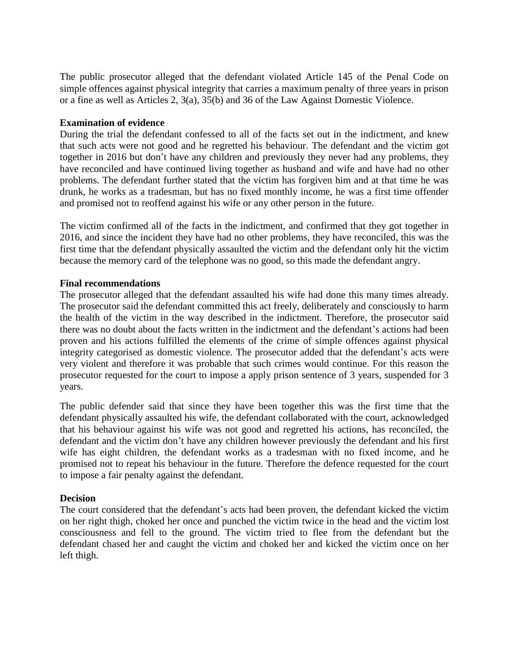The public prosecutor alleged that the defendant violated Article 145 of the Penal Code on simple offences against physical integrity that carries a maximum penalty of three years in prison or a fine as well as Articles 2, 3(a), 35(b) and 36 of the Law Against Domestic Violence.

### **Examination of evidence**

During the trial the defendant confessed to all of the facts set out in the indictment, and knew that such acts were not good and he regretted his behaviour. The defendant and the victim got together in 2016 but don't have any children and previously they never had any problems, they have reconciled and have continued living together as husband and wife and have had no other problems. The defendant further stated that the victim has forgiven him and at that time he was drunk, he works as a tradesman, but has no fixed monthly income, he was a first time offender and promised not to reoffend against his wife or any other person in the future.

The victim confirmed all of the facts in the indictment, and confirmed that they got together in 2016, and since the incident they have had no other problems, they have reconciled, this was the first time that the defendant physically assaulted the victim and the defendant only hit the victim because the memory card of the telephone was no good, so this made the defendant angry.

#### **Final recommendations**

The prosecutor alleged that the defendant assaulted his wife had done this many times already. The prosecutor said the defendant committed this act freely, deliberately and consciously to harm the health of the victim in the way described in the indictment. Therefore, the prosecutor said there was no doubt about the facts written in the indictment and the defendant's actions had been proven and his actions fulfilled the elements of the crime of simple offences against physical integrity categorised as domestic violence. The prosecutor added that the defendant's acts were very violent and therefore it was probable that such crimes would continue. For this reason the prosecutor requested for the court to impose a apply prison sentence of 3 years, suspended for 3 years.

The public defender said that since they have been together this was the first time that the defendant physically assaulted his wife, the defendant collaborated with the court, acknowledged that his behaviour against his wife was not good and regretted his actions, has reconciled, the defendant and the victim don't have any children however previously the defendant and his first wife has eight children, the defendant works as a tradesman with no fixed income, and he promised not to repeat his behaviour in the future. Therefore the defence requested for the court to impose a fair penalty against the defendant.

### **Decision**

The court considered that the defendant's acts had been proven, the defendant kicked the victim on her right thigh, choked her once and punched the victim twice in the head and the victim lost consciousness and fell to the ground. The victim tried to flee from the defendant but the defendant chased her and caught the victim and choked her and kicked the victim once on her left thigh.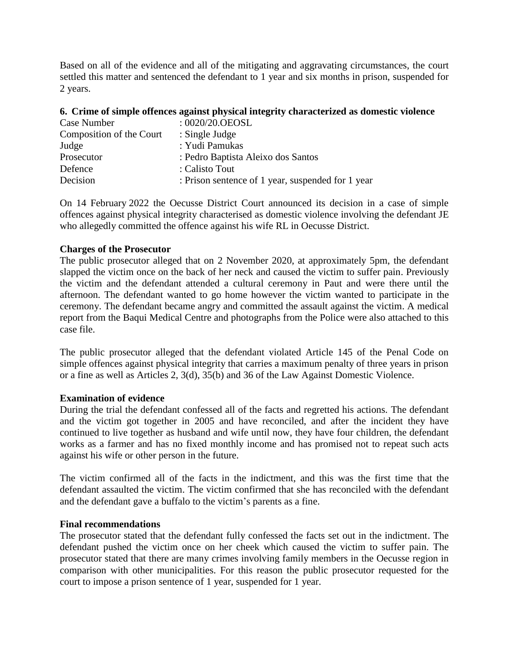Based on all of the evidence and all of the mitigating and aggravating circumstances, the court settled this matter and sentenced the defendant to 1 year and six months in prison, suspended for 2 years.

### **6. Crime of simple offences against physical integrity characterized as domestic violence**

| $:0020/20.0$ EOSL                                 |
|---------------------------------------------------|
| : Single Judge                                    |
| : Yudi Pamukas                                    |
| : Pedro Baptista Aleixo dos Santos                |
| : Calisto Tout                                    |
| : Prison sentence of 1 year, suspended for 1 year |
|                                                   |

On 14 February 2022 the Oecusse District Court announced its decision in a case of simple offences against physical integrity characterised as domestic violence involving the defendant JE who allegedly committed the offence against his wife RL in Oecusse District.

### **Charges of the Prosecutor**

The public prosecutor alleged that on 2 November 2020, at approximately 5pm, the defendant slapped the victim once on the back of her neck and caused the victim to suffer pain. Previously the victim and the defendant attended a cultural ceremony in Paut and were there until the afternoon. The defendant wanted to go home however the victim wanted to participate in the ceremony. The defendant became angry and committed the assault against the victim. A medical report from the Baqui Medical Centre and photographs from the Police were also attached to this case file.

The public prosecutor alleged that the defendant violated Article 145 of the Penal Code on simple offences against physical integrity that carries a maximum penalty of three years in prison or a fine as well as Articles 2, 3(d), 35(b) and 36 of the Law Against Domestic Violence.

### **Examination of evidence**

During the trial the defendant confessed all of the facts and regretted his actions. The defendant and the victim got together in 2005 and have reconciled, and after the incident they have continued to live together as husband and wife until now, they have four children, the defendant works as a farmer and has no fixed monthly income and has promised not to repeat such acts against his wife or other person in the future.

The victim confirmed all of the facts in the indictment, and this was the first time that the defendant assaulted the victim. The victim confirmed that she has reconciled with the defendant and the defendant gave a buffalo to the victim's parents as a fine.

#### **Final recommendations**

The prosecutor stated that the defendant fully confessed the facts set out in the indictment. The defendant pushed the victim once on her cheek which caused the victim to suffer pain. The prosecutor stated that there are many crimes involving family members in the Oecusse region in comparison with other municipalities. For this reason the public prosecutor requested for the court to impose a prison sentence of 1 year, suspended for 1 year.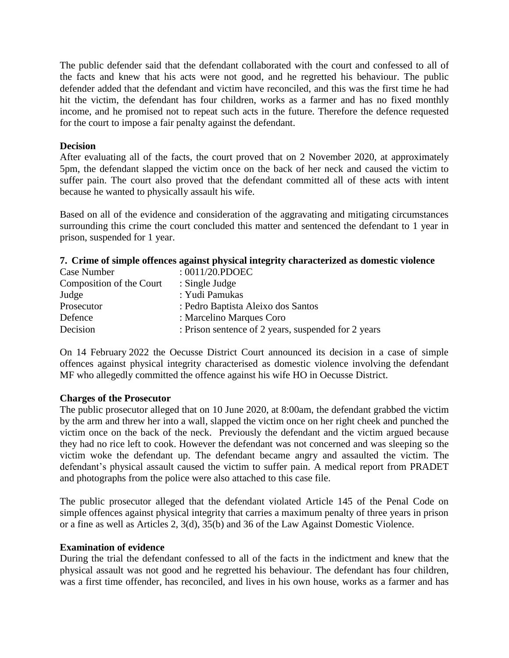The public defender said that the defendant collaborated with the court and confessed to all of the facts and knew that his acts were not good, and he regretted his behaviour. The public defender added that the defendant and victim have reconciled, and this was the first time he had hit the victim, the defendant has four children, works as a farmer and has no fixed monthly income, and he promised not to repeat such acts in the future. Therefore the defence requested for the court to impose a fair penalty against the defendant.

#### **Decision**

After evaluating all of the facts, the court proved that on 2 November 2020, at approximately 5pm, the defendant slapped the victim once on the back of her neck and caused the victim to suffer pain. The court also proved that the defendant committed all of these acts with intent because he wanted to physically assault his wife.

Based on all of the evidence and consideration of the aggravating and mitigating circumstances surrounding this crime the court concluded this matter and sentenced the defendant to 1 year in prison, suspended for 1 year.

### **7. Crime of simple offences against physical integrity characterized as domestic violence**

| Case Number              | : $0011/20$ .PDOEC                                  |
|--------------------------|-----------------------------------------------------|
| Composition of the Court | $:$ Single Judge                                    |
| Judge                    | : Yudi Pamukas                                      |
| Prosecutor               | : Pedro Baptista Aleixo dos Santos                  |
| Defence                  | : Marcelino Marques Coro                            |
| Decision                 | : Prison sentence of 2 years, suspended for 2 years |

On 14 February 2022 the Oecusse District Court announced its decision in a case of simple offences against physical integrity characterised as domestic violence involving the defendant MF who allegedly committed the offence against his wife HO in Oecusse District.

### **Charges of the Prosecutor**

The public prosecutor alleged that on 10 June 2020, at 8:00am, the defendant grabbed the victim by the arm and threw her into a wall, slapped the victim once on her right cheek and punched the victim once on the back of the neck. Previously the defendant and the victim argued because they had no rice left to cook. However the defendant was not concerned and was sleeping so the victim woke the defendant up. The defendant became angry and assaulted the victim. The defendant's physical assault caused the victim to suffer pain. A medical report from PRADET and photographs from the police were also attached to this case file.

The public prosecutor alleged that the defendant violated Article 145 of the Penal Code on simple offences against physical integrity that carries a maximum penalty of three years in prison or a fine as well as Articles 2, 3(d), 35(b) and 36 of the Law Against Domestic Violence.

#### **Examination of evidence**

During the trial the defendant confessed to all of the facts in the indictment and knew that the physical assault was not good and he regretted his behaviour. The defendant has four children, was a first time offender, has reconciled, and lives in his own house, works as a farmer and has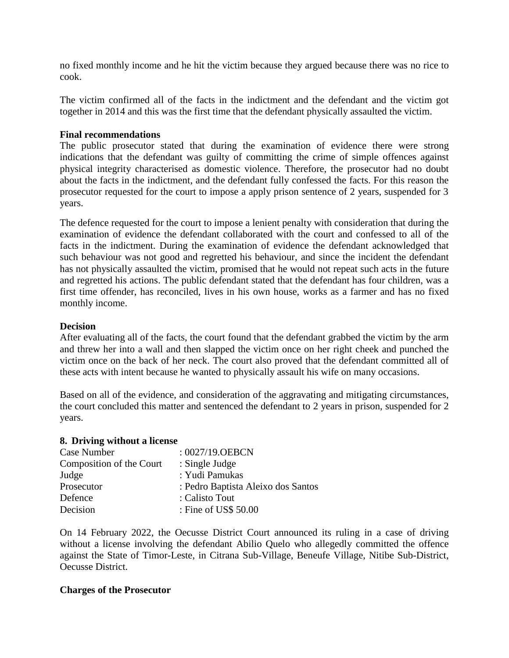no fixed monthly income and he hit the victim because they argued because there was no rice to cook.

The victim confirmed all of the facts in the indictment and the defendant and the victim got together in 2014 and this was the first time that the defendant physically assaulted the victim.

#### **Final recommendations**

The public prosecutor stated that during the examination of evidence there were strong indications that the defendant was guilty of committing the crime of simple offences against physical integrity characterised as domestic violence. Therefore, the prosecutor had no doubt about the facts in the indictment, and the defendant fully confessed the facts. For this reason the prosecutor requested for the court to impose a apply prison sentence of 2 years, suspended for 3 years.

The defence requested for the court to impose a lenient penalty with consideration that during the examination of evidence the defendant collaborated with the court and confessed to all of the facts in the indictment. During the examination of evidence the defendant acknowledged that such behaviour was not good and regretted his behaviour, and since the incident the defendant has not physically assaulted the victim, promised that he would not repeat such acts in the future and regretted his actions. The public defendant stated that the defendant has four children, was a first time offender, has reconciled, lives in his own house, works as a farmer and has no fixed monthly income.

#### **Decision**

After evaluating all of the facts, the court found that the defendant grabbed the victim by the arm and threw her into a wall and then slapped the victim once on her right cheek and punched the victim once on the back of her neck. The court also proved that the defendant committed all of these acts with intent because he wanted to physically assault his wife on many occasions.

Based on all of the evidence, and consideration of the aggravating and mitigating circumstances, the court concluded this matter and sentenced the defendant to 2 years in prison, suspended for 2 years.

#### **8. Driving without a license**

| Case Number              | $: 0027/19.$ OEBCN                 |
|--------------------------|------------------------------------|
| Composition of the Court | : Single Judge                     |
| Judge                    | : Yudi Pamukas                     |
| Prosecutor               | : Pedro Baptista Aleixo dos Santos |
| Defence                  | : Calisto Tout                     |
| Decision                 | : Fine of US\$ 50.00               |

On 14 February 2022, the Oecusse District Court announced its ruling in a case of driving without a license involving the defendant Abilio Quelo who allegedly committed the offence against the State of Timor-Leste, in Citrana Sub-Village, Beneufe Village, Nitibe Sub-District, Oecusse District.

#### **Charges of the Prosecutor**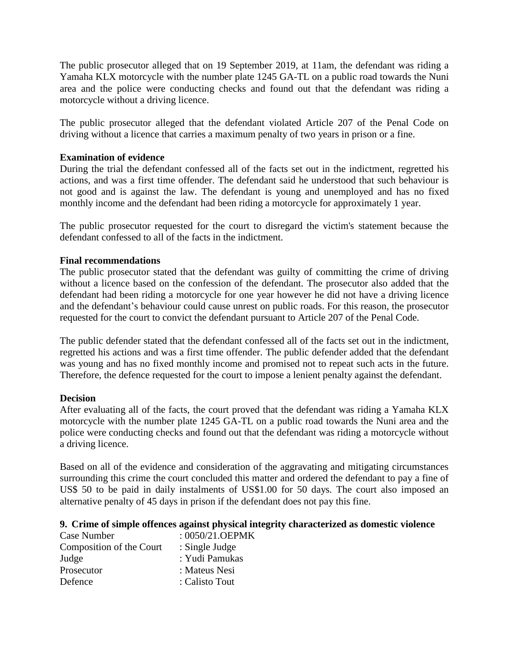The public prosecutor alleged that on 19 September 2019, at 11am, the defendant was riding a Yamaha KLX motorcycle with the number plate 1245 GA-TL on a public road towards the Nuni area and the police were conducting checks and found out that the defendant was riding a motorcycle without a driving licence.

The public prosecutor alleged that the defendant violated Article 207 of the Penal Code on driving without a licence that carries a maximum penalty of two years in prison or a fine.

### **Examination of evidence**

During the trial the defendant confessed all of the facts set out in the indictment, regretted his actions, and was a first time offender. The defendant said he understood that such behaviour is not good and is against the law. The defendant is young and unemployed and has no fixed monthly income and the defendant had been riding a motorcycle for approximately 1 year.

The public prosecutor requested for the court to disregard the victim's statement because the defendant confessed to all of the facts in the indictment.

### **Final recommendations**

The public prosecutor stated that the defendant was guilty of committing the crime of driving without a licence based on the confession of the defendant. The prosecutor also added that the defendant had been riding a motorcycle for one year however he did not have a driving licence and the defendant's behaviour could cause unrest on public roads. For this reason, the prosecutor requested for the court to convict the defendant pursuant to Article 207 of the Penal Code.

The public defender stated that the defendant confessed all of the facts set out in the indictment, regretted his actions and was a first time offender. The public defender added that the defendant was young and has no fixed monthly income and promised not to repeat such acts in the future. Therefore, the defence requested for the court to impose a lenient penalty against the defendant.

### **Decision**

After evaluating all of the facts, the court proved that the defendant was riding a Yamaha KLX motorcycle with the number plate 1245 GA-TL on a public road towards the Nuni area and the police were conducting checks and found out that the defendant was riding a motorcycle without a driving licence.

Based on all of the evidence and consideration of the aggravating and mitigating circumstances surrounding this crime the court concluded this matter and ordered the defendant to pay a fine of US\$ 50 to be paid in daily instalments of US\$1.00 for 50 days. The court also imposed an alternative penalty of 45 days in prison if the defendant does not pay this fine.

### **9. Crime of simple offences against physical integrity characterized as domestic violence**

| $:0050/21.$ OEPMK |
|-------------------|
| : Single Judge    |
| : Yudi Pamukas    |
| : Mateus Nesi     |
| : Calisto Tout    |
|                   |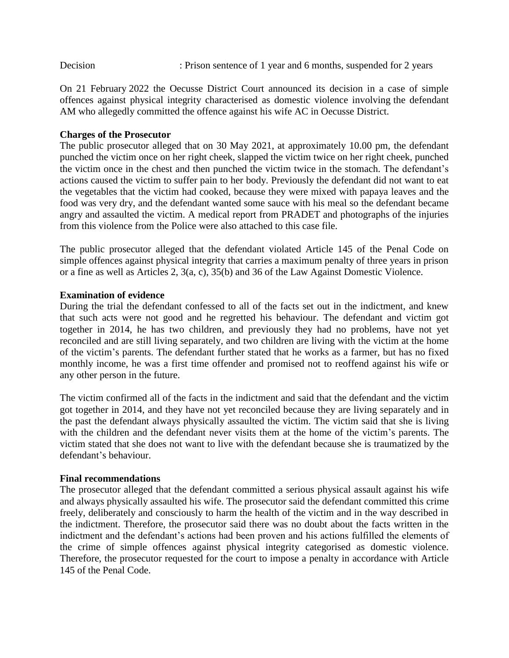On 21 February 2022 the Oecusse District Court announced its decision in a case of simple offences against physical integrity characterised as domestic violence involving the defendant AM who allegedly committed the offence against his wife AC in Oecusse District.

## **Charges of the Prosecutor**

The public prosecutor alleged that on 30 May 2021, at approximately 10.00 pm, the defendant punched the victim once on her right cheek, slapped the victim twice on her right cheek, punched the victim once in the chest and then punched the victim twice in the stomach. The defendant's actions caused the victim to suffer pain to her body. Previously the defendant did not want to eat the vegetables that the victim had cooked, because they were mixed with papaya leaves and the food was very dry, and the defendant wanted some sauce with his meal so the defendant became angry and assaulted the victim. A medical report from PRADET and photographs of the injuries from this violence from the Police were also attached to this case file.

The public prosecutor alleged that the defendant violated Article 145 of the Penal Code on simple offences against physical integrity that carries a maximum penalty of three years in prison or a fine as well as Articles 2, 3(a, c), 35(b) and 36 of the Law Against Domestic Violence.

### **Examination of evidence**

During the trial the defendant confessed to all of the facts set out in the indictment, and knew that such acts were not good and he regretted his behaviour. The defendant and victim got together in 2014, he has two children, and previously they had no problems, have not yet reconciled and are still living separately, and two children are living with the victim at the home of the victim's parents. The defendant further stated that he works as a farmer, but has no fixed monthly income, he was a first time offender and promised not to reoffend against his wife or any other person in the future.

The victim confirmed all of the facts in the indictment and said that the defendant and the victim got together in 2014, and they have not yet reconciled because they are living separately and in the past the defendant always physically assaulted the victim. The victim said that she is living with the children and the defendant never visits them at the home of the victim's parents. The victim stated that she does not want to live with the defendant because she is traumatized by the defendant's behaviour.

### **Final recommendations**

The prosecutor alleged that the defendant committed a serious physical assault against his wife and always physically assaulted his wife. The prosecutor said the defendant committed this crime freely, deliberately and consciously to harm the health of the victim and in the way described in the indictment. Therefore, the prosecutor said there was no doubt about the facts written in the indictment and the defendant's actions had been proven and his actions fulfilled the elements of the crime of simple offences against physical integrity categorised as domestic violence. Therefore, the prosecutor requested for the court to impose a penalty in accordance with Article 145 of the Penal Code.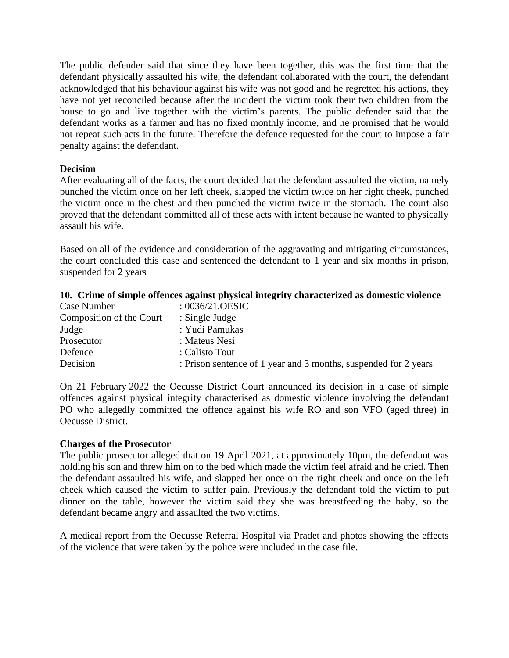The public defender said that since they have been together, this was the first time that the defendant physically assaulted his wife, the defendant collaborated with the court, the defendant acknowledged that his behaviour against his wife was not good and he regretted his actions, they have not yet reconciled because after the incident the victim took their two children from the house to go and live together with the victim's parents. The public defender said that the defendant works as a farmer and has no fixed monthly income, and he promised that he would not repeat such acts in the future. Therefore the defence requested for the court to impose a fair penalty against the defendant.

### **Decision**

After evaluating all of the facts, the court decided that the defendant assaulted the victim, namely punched the victim once on her left cheek, slapped the victim twice on her right cheek, punched the victim once in the chest and then punched the victim twice in the stomach. The court also proved that the defendant committed all of these acts with intent because he wanted to physically assault his wife.

Based on all of the evidence and consideration of the aggravating and mitigating circumstances, the court concluded this case and sentenced the defendant to 1 year and six months in prison, suspended for 2 years

### **10. Crime of simple offences against physical integrity characterized as domestic violence**

| Case Number              | : $0036/21.0ESIC$                                               |
|--------------------------|-----------------------------------------------------------------|
| Composition of the Court | $:$ Single Judge                                                |
| Judge                    | : Yudi Pamukas                                                  |
| Prosecutor               | : Mateus Nesi                                                   |
| Defence                  | : Calisto Tout                                                  |
| Decision                 | : Prison sentence of 1 year and 3 months, suspended for 2 years |

On 21 February 2022 the Oecusse District Court announced its decision in a case of simple offences against physical integrity characterised as domestic violence involving the defendant PO who allegedly committed the offence against his wife RO and son VFO (aged three) in Oecusse District.

### **Charges of the Prosecutor**

The public prosecutor alleged that on 19 April 2021, at approximately 10pm, the defendant was holding his son and threw him on to the bed which made the victim feel afraid and he cried. Then the defendant assaulted his wife, and slapped her once on the right cheek and once on the left cheek which caused the victim to suffer pain. Previously the defendant told the victim to put dinner on the table, however the victim said they she was breastfeeding the baby, so the defendant became angry and assaulted the two victims.

A medical report from the Oecusse Referral Hospital via Pradet and photos showing the effects of the violence that were taken by the police were included in the case file.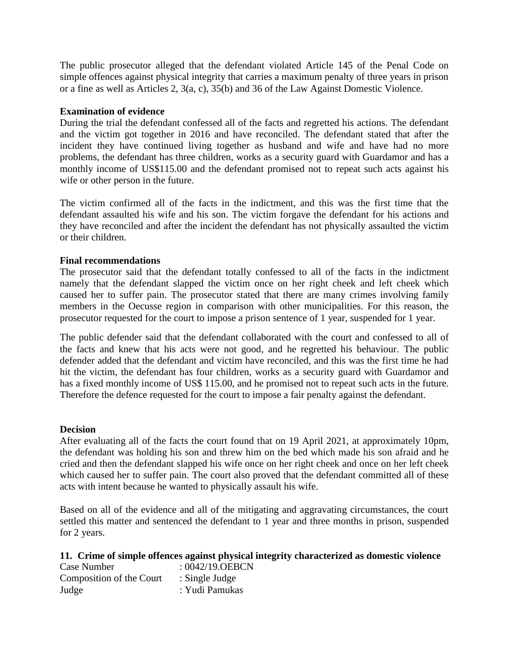The public prosecutor alleged that the defendant violated Article 145 of the Penal Code on simple offences against physical integrity that carries a maximum penalty of three years in prison or a fine as well as Articles 2, 3(a, c), 35(b) and 36 of the Law Against Domestic Violence.

#### **Examination of evidence**

During the trial the defendant confessed all of the facts and regretted his actions. The defendant and the victim got together in 2016 and have reconciled. The defendant stated that after the incident they have continued living together as husband and wife and have had no more problems, the defendant has three children, works as a security guard with Guardamor and has a monthly income of US\$115.00 and the defendant promised not to repeat such acts against his wife or other person in the future.

The victim confirmed all of the facts in the indictment, and this was the first time that the defendant assaulted his wife and his son. The victim forgave the defendant for his actions and they have reconciled and after the incident the defendant has not physically assaulted the victim or their children.

### **Final recommendations**

The prosecutor said that the defendant totally confessed to all of the facts in the indictment namely that the defendant slapped the victim once on her right cheek and left cheek which caused her to suffer pain. The prosecutor stated that there are many crimes involving family members in the Oecusse region in comparison with other municipalities. For this reason, the prosecutor requested for the court to impose a prison sentence of 1 year, suspended for 1 year.

The public defender said that the defendant collaborated with the court and confessed to all of the facts and knew that his acts were not good, and he regretted his behaviour. The public defender added that the defendant and victim have reconciled, and this was the first time he had hit the victim, the defendant has four children, works as a security guard with Guardamor and has a fixed monthly income of US\$ 115.00, and he promised not to repeat such acts in the future. Therefore the defence requested for the court to impose a fair penalty against the defendant.

#### **Decision**

After evaluating all of the facts the court found that on 19 April 2021, at approximately 10pm, the defendant was holding his son and threw him on the bed which made his son afraid and he cried and then the defendant slapped his wife once on her right cheek and once on her left cheek which caused her to suffer pain. The court also proved that the defendant committed all of these acts with intent because he wanted to physically assault his wife.

Based on all of the evidence and all of the mitigating and aggravating circumstances, the court settled this matter and sentenced the defendant to 1 year and three months in prison, suspended for 2 years.

#### **11. Crime of simple offences against physical integrity characterized as domestic violence**

| Case Number              | $: 0042/19.$ OEBCN |
|--------------------------|--------------------|
| Composition of the Court | : Single Judge     |
| Judge                    | : Yudi Pamukas     |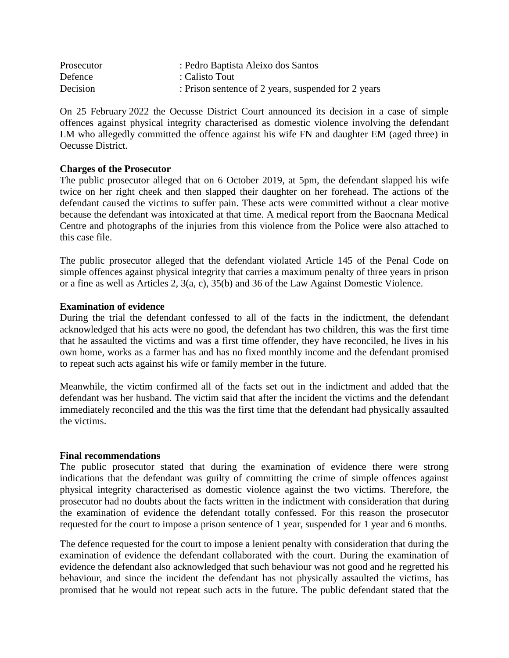| Prosecutor | : Pedro Baptista Aleixo dos Santos                  |
|------------|-----------------------------------------------------|
| Defence    | : Calisto Tout                                      |
| Decision   | : Prison sentence of 2 years, suspended for 2 years |

On 25 February 2022 the Oecusse District Court announced its decision in a case of simple offences against physical integrity characterised as domestic violence involving the defendant LM who allegedly committed the offence against his wife FN and daughter EM (aged three) in Oecusse District.

### **Charges of the Prosecutor**

The public prosecutor alleged that on 6 October 2019, at 5pm, the defendant slapped his wife twice on her right cheek and then slapped their daughter on her forehead. The actions of the defendant caused the victims to suffer pain. These acts were committed without a clear motive because the defendant was intoxicated at that time. A medical report from the Baocnana Medical Centre and photographs of the injuries from this violence from the Police were also attached to this case file.

The public prosecutor alleged that the defendant violated Article 145 of the Penal Code on simple offences against physical integrity that carries a maximum penalty of three years in prison or a fine as well as Articles 2, 3(a, c), 35(b) and 36 of the Law Against Domestic Violence.

### **Examination of evidence**

During the trial the defendant confessed to all of the facts in the indictment, the defendant acknowledged that his acts were no good, the defendant has two children, this was the first time that he assaulted the victims and was a first time offender, they have reconciled, he lives in his own home, works as a farmer has and has no fixed monthly income and the defendant promised to repeat such acts against his wife or family member in the future.

Meanwhile, the victim confirmed all of the facts set out in the indictment and added that the defendant was her husband. The victim said that after the incident the victims and the defendant immediately reconciled and the this was the first time that the defendant had physically assaulted the victims.

### **Final recommendations**

The public prosecutor stated that during the examination of evidence there were strong indications that the defendant was guilty of committing the crime of simple offences against physical integrity characterised as domestic violence against the two victims. Therefore, the prosecutor had no doubts about the facts written in the indictment with consideration that during the examination of evidence the defendant totally confessed. For this reason the prosecutor requested for the court to impose a prison sentence of 1 year, suspended for 1 year and 6 months.

The defence requested for the court to impose a lenient penalty with consideration that during the examination of evidence the defendant collaborated with the court. During the examination of evidence the defendant also acknowledged that such behaviour was not good and he regretted his behaviour, and since the incident the defendant has not physically assaulted the victims, has promised that he would not repeat such acts in the future. The public defendant stated that the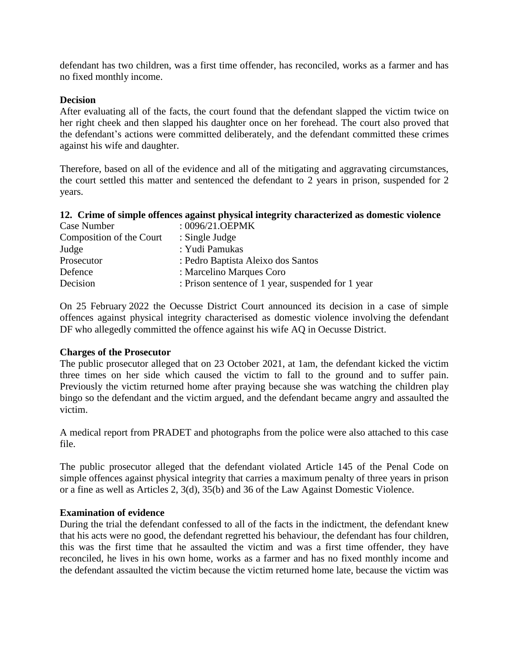defendant has two children, was a first time offender, has reconciled, works as a farmer and has no fixed monthly income.

#### **Decision**

After evaluating all of the facts, the court found that the defendant slapped the victim twice on her right cheek and then slapped his daughter once on her forehead. The court also proved that the defendant's actions were committed deliberately, and the defendant committed these crimes against his wife and daughter.

Therefore, based on all of the evidence and all of the mitigating and aggravating circumstances, the court settled this matter and sentenced the defendant to 2 years in prison, suspended for 2 years.

# **12. Crime of simple offences against physical integrity characterized as domestic violence**

| Case Number              | : 0096/21.OEPMK                                   |
|--------------------------|---------------------------------------------------|
| Composition of the Court | $:$ Single Judge                                  |
| Judge                    | : Yudi Pamukas                                    |
| Prosecutor               | : Pedro Baptista Aleixo dos Santos                |
| Defence                  | : Marcelino Marques Coro                          |
| Decision                 | : Prison sentence of 1 year, suspended for 1 year |

On 25 February 2022 the Oecusse District Court announced its decision in a case of simple offences against physical integrity characterised as domestic violence involving the defendant DF who allegedly committed the offence against his wife AQ in Oecusse District.

#### **Charges of the Prosecutor**

The public prosecutor alleged that on 23 October 2021, at 1am, the defendant kicked the victim three times on her side which caused the victim to fall to the ground and to suffer pain. Previously the victim returned home after praying because she was watching the children play bingo so the defendant and the victim argued, and the defendant became angry and assaulted the victim.

A medical report from PRADET and photographs from the police were also attached to this case file.

The public prosecutor alleged that the defendant violated Article 145 of the Penal Code on simple offences against physical integrity that carries a maximum penalty of three years in prison or a fine as well as Articles 2, 3(d), 35(b) and 36 of the Law Against Domestic Violence.

### **Examination of evidence**

During the trial the defendant confessed to all of the facts in the indictment, the defendant knew that his acts were no good, the defendant regretted his behaviour, the defendant has four children, this was the first time that he assaulted the victim and was a first time offender, they have reconciled, he lives in his own home, works as a farmer and has no fixed monthly income and the defendant assaulted the victim because the victim returned home late, because the victim was